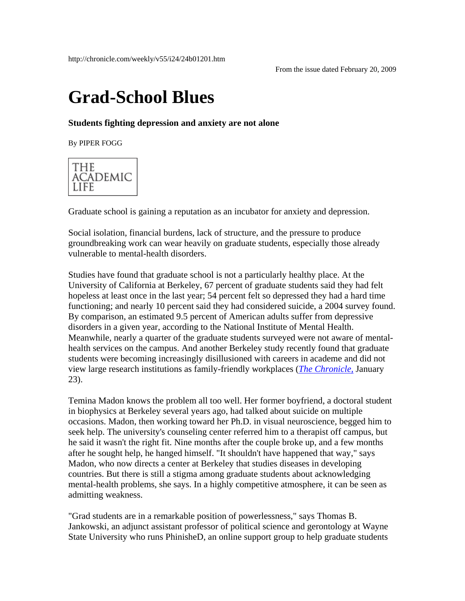## **Grad-School Blues**

## **Students fighting depression and anxiety are not alone**

By PIPER FOGG



Graduate school is gaining a reputation as an incubator for anxiety and depression.

Social isolation, financial burdens, lack of structure, and the pressure to produce groundbreaking work can wear heavily on graduate students, especially those already vulnerable to mental-health disorders.

Studies have found that graduate school is not a particularly healthy place. At the University of California at Berkeley, 67 percent of graduate students said they had felt hopeless at least once in the last year; 54 percent felt so depressed they had a hard time functioning; and nearly 10 percent said they had considered suicide, a 2004 survey found. By comparison, an estimated 9.5 percent of American adults suffer from depressive disorders in a given year, according to the National Institute of Mental Health. Meanwhile, nearly a quarter of the graduate students surveyed were not aware of mentalhealth services on the campus. And another Berkeley study recently found that graduate students were becoming increasingly disillusioned with careers in academe and did not view large research institutions as family-friendly workplaces (*[The Chronicle,](http://chronicle.com/weekly/v55/i20/20a00102.htm)* January 23).

Temina Madon knows the problem all too well. Her former boyfriend, a doctoral student in biophysics at Berkeley several years ago, had talked about suicide on multiple occasions. Madon, then working toward her Ph.D. in visual neuroscience, begged him to seek help. The university's counseling center referred him to a therapist off campus, but he said it wasn't the right fit. Nine months after the couple broke up, and a few months after he sought help, he hanged himself. "It shouldn't have happened that way," says Madon, who now directs a center at Berkeley that studies diseases in developing countries. But there is still a stigma among graduate students about acknowledging mental-health problems, she says. In a highly competitive atmosphere, it can be seen as admitting weakness.

"Grad students are in a remarkable position of powerlessness," says Thomas B. Jankowski, an adjunct assistant professor of political science and gerontology at Wayne State University who runs PhinisheD, an online support group to help graduate students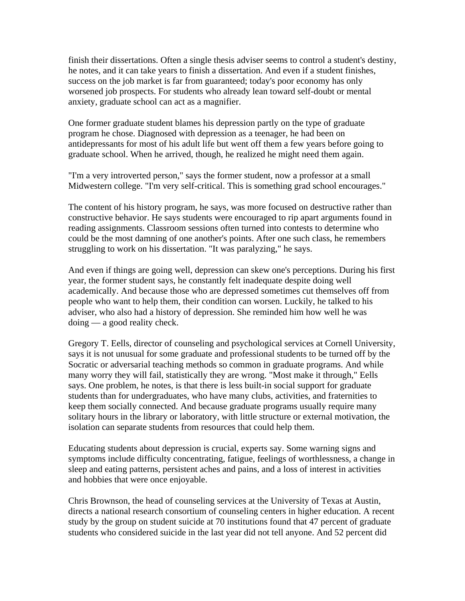finish their dissertations. Often a single thesis adviser seems to control a student's destiny, he notes, and it can take years to finish a dissertation. And even if a student finishes, success on the job market is far from guaranteed; today's poor economy has only worsened job prospects. For students who already lean toward self-doubt or mental anxiety, graduate school can act as a magnifier.

One former graduate student blames his depression partly on the type of graduate program he chose. Diagnosed with depression as a teenager, he had been on antidepressants for most of his adult life but went off them a few years before going to graduate school. When he arrived, though, he realized he might need them again.

"I'm a very introverted person," says the former student, now a professor at a small Midwestern college. "I'm very self-critical. This is something grad school encourages."

The content of his history program, he says, was more focused on destructive rather than constructive behavior. He says students were encouraged to rip apart arguments found in reading assignments. Classroom sessions often turned into contests to determine who could be the most damning of one another's points. After one such class, he remembers struggling to work on his dissertation. "It was paralyzing," he says.

And even if things are going well, depression can skew one's perceptions. During his first year, the former student says, he constantly felt inadequate despite doing well academically. And because those who are depressed sometimes cut themselves off from people who want to help them, their condition can worsen. Luckily, he talked to his adviser, who also had a history of depression. She reminded him how well he was doing — a good reality check.

Gregory T. Eells, director of counseling and psychological services at Cornell University, says it is not unusual for some graduate and professional students to be turned off by the Socratic or adversarial teaching methods so common in graduate programs. And while many worry they will fail, statistically they are wrong. "Most make it through," Eells says. One problem, he notes, is that there is less built-in social support for graduate students than for undergraduates, who have many clubs, activities, and fraternities to keep them socially connected. And because graduate programs usually require many solitary hours in the library or laboratory, with little structure or external motivation, the isolation can separate students from resources that could help them.

Educating students about depression is crucial, experts say. Some warning signs and symptoms include difficulty concentrating, fatigue, feelings of worthlessness, a change in sleep and eating patterns, persistent aches and pains, and a loss of interest in activities and hobbies that were once enjoyable.

Chris Brownson, the head of counseling services at the University of Texas at Austin, directs a national research consortium of counseling centers in higher education. A recent study by the group on student suicide at 70 institutions found that 47 percent of graduate students who considered suicide in the last year did not tell anyone. And 52 percent did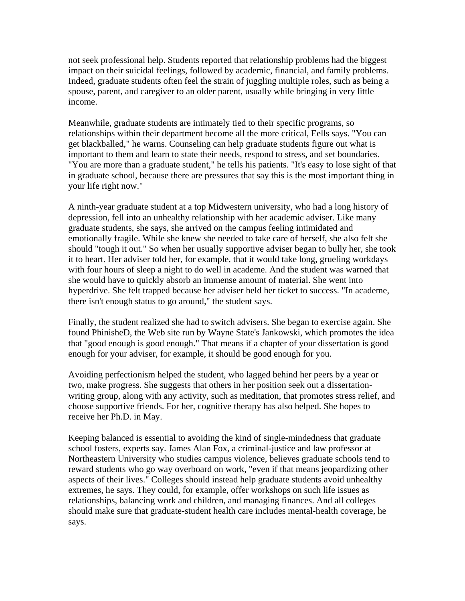not seek professional help. Students reported that relationship problems had the biggest impact on their suicidal feelings, followed by academic, financial, and family problems. Indeed, graduate students often feel the strain of juggling multiple roles, such as being a spouse, parent, and caregiver to an older parent, usually while bringing in very little income.

Meanwhile, graduate students are intimately tied to their specific programs, so relationships within their department become all the more critical, Eells says. "You can get blackballed," he warns. Counseling can help graduate students figure out what is important to them and learn to state their needs, respond to stress, and set boundaries. "You are more than a graduate student," he tells his patients. "It's easy to lose sight of that in graduate school, because there are pressures that say this is the most important thing in your life right now."

A ninth-year graduate student at a top Midwestern university, who had a long history of depression, fell into an unhealthy relationship with her academic adviser. Like many graduate students, she says, she arrived on the campus feeling intimidated and emotionally fragile. While she knew she needed to take care of herself, she also felt she should "tough it out." So when her usually supportive adviser began to bully her, she took it to heart. Her adviser told her, for example, that it would take long, grueling workdays with four hours of sleep a night to do well in academe. And the student was warned that she would have to quickly absorb an immense amount of material. She went into hyperdrive. She felt trapped because her adviser held her ticket to success. "In academe, there isn't enough status to go around," the student says.

Finally, the student realized she had to switch advisers. She began to exercise again. She found PhinisheD, the Web site run by Wayne State's Jankowski, which promotes the idea that "good enough is good enough." That means if a chapter of your dissertation is good enough for your adviser, for example, it should be good enough for you.

Avoiding perfectionism helped the student, who lagged behind her peers by a year or two, make progress. She suggests that others in her position seek out a dissertationwriting group, along with any activity, such as meditation, that promotes stress relief, and choose supportive friends. For her, cognitive therapy has also helped. She hopes to receive her Ph.D. in May.

Keeping balanced is essential to avoiding the kind of single-mindedness that graduate school fosters, experts say. James Alan Fox, a criminal-justice and law professor at Northeastern University who studies campus violence, believes graduate schools tend to reward students who go way overboard on work, "even if that means jeopardizing other aspects of their lives." Colleges should instead help graduate students avoid unhealthy extremes, he says. They could, for example, offer workshops on such life issues as relationships, balancing work and children, and managing finances. And all colleges should make sure that graduate-student health care includes mental-health coverage, he says.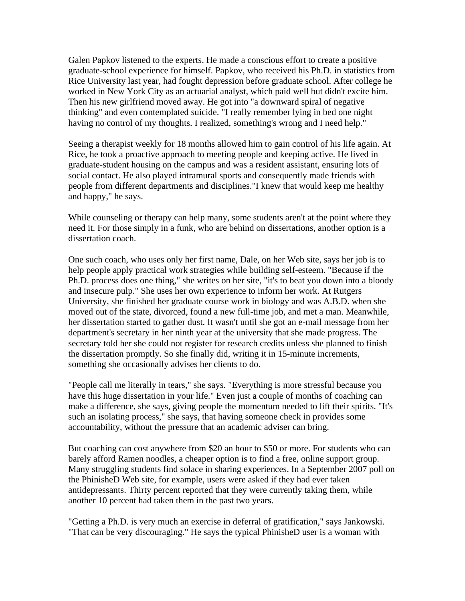Galen Papkov listened to the experts. He made a conscious effort to create a positive graduate-school experience for himself. Papkov, who received his Ph.D. in statistics from Rice University last year, had fought depression before graduate school. After college he worked in New York City as an actuarial analyst, which paid well but didn't excite him. Then his new girlfriend moved away. He got into "a downward spiral of negative thinking" and even contemplated suicide. "I really remember lying in bed one night having no control of my thoughts. I realized, something's wrong and I need help."

Seeing a therapist weekly for 18 months allowed him to gain control of his life again. At Rice, he took a proactive approach to meeting people and keeping active. He lived in graduate-student housing on the campus and was a resident assistant, ensuring lots of social contact. He also played intramural sports and consequently made friends with people from different departments and disciplines."I knew that would keep me healthy and happy," he says.

While counseling or therapy can help many, some students aren't at the point where they need it. For those simply in a funk, who are behind on dissertations, another option is a dissertation coach.

One such coach, who uses only her first name, Dale, on her Web site, says her job is to help people apply practical work strategies while building self-esteem. "Because if the Ph.D. process does one thing," she writes on her site, "it's to beat you down into a bloody and insecure pulp." She uses her own experience to inform her work. At Rutgers University, she finished her graduate course work in biology and was A.B.D. when she moved out of the state, divorced, found a new full-time job, and met a man. Meanwhile, her dissertation started to gather dust. It wasn't until she got an e-mail message from her department's secretary in her ninth year at the university that she made progress. The secretary told her she could not register for research credits unless she planned to finish the dissertation promptly. So she finally did, writing it in 15-minute increments, something she occasionally advises her clients to do.

"People call me literally in tears," she says. "Everything is more stressful because you have this huge dissertation in your life." Even just a couple of months of coaching can make a difference, she says, giving people the momentum needed to lift their spirits. "It's such an isolating process," she says, that having someone check in provides some accountability, without the pressure that an academic adviser can bring.

But coaching can cost anywhere from \$20 an hour to \$50 or more. For students who can barely afford Ramen noodles, a cheaper option is to find a free, online support group. Many struggling students find solace in sharing experiences. In a September 2007 poll on the PhinisheD Web site, for example, users were asked if they had ever taken antidepressants. Thirty percent reported that they were currently taking them, while another 10 percent had taken them in the past two years.

"Getting a Ph.D. is very much an exercise in deferral of gratification," says Jankowski. "That can be very discouraging." He says the typical PhinisheD user is a woman with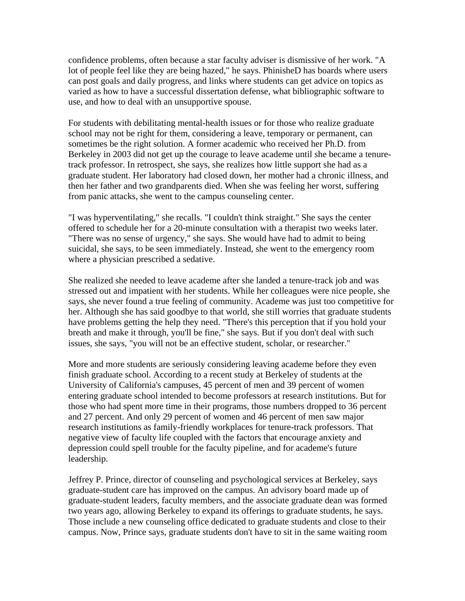confidence problems, often because a star faculty adviser is dismissive of her work. "A lot of people feel like they are being hazed," he says. PhinisheD has boards where users can post goals and daily progress, and links where students can get advice on topics as varied as how to have a successful dissertation defense, what bibliographic software to use, and how to deal with an unsupportive spouse.

For students with debilitating mental-health issues or for those who realize graduate school may not be right for them, considering a leave, temporary or permanent, can sometimes be the right solution. A former academic who received her Ph.D. from Berkeley in 2003 did not get up the courage to leave academe until she became a tenuretrack professor. In retrospect, she says, she realizes how little support she had as a graduate student. Her laboratory had closed down, her mother had a chronic illness, and then her father and two grandparents died. When she was feeling her worst, suffering from panic attacks, she went to the campus counseling center.

"I was hyperventilating," she recalls. "I couldn't think straight." She says the center offered to schedule her for a 20-minute consultation with a therapist two weeks later. "There was no sense of urgency," she says. She would have had to admit to being suicidal, she says, to be seen immediately. Instead, she went to the emergency room where a physician prescribed a sedative.

She realized she needed to leave academe after she landed a tenure-track job and was stressed out and impatient with her students. While her colleagues were nice people, she says, she never found a true feeling of community. Academe was just too competitive for her. Although she has said goodbye to that world, she still worries that graduate students have problems getting the help they need. "There's this perception that if you hold your breath and make it through, you'll be fine," she says. But if you don't deal with such issues, she says, "you will not be an effective student, scholar, or researcher."

More and more students are seriously considering leaving academe before they even finish graduate school. According to a recent study at Berkeley of students at the University of California's campuses, 45 percent of men and 39 percent of women entering graduate school intended to become professors at research institutions. But for those who had spent more time in their programs, those numbers dropped to 36 percent and 27 percent. And only 29 percent of women and 46 percent of men saw major research institutions as family-friendly workplaces for tenure-track professors. That negative view of faculty life coupled with the factors that encourage anxiety and depression could spell trouble for the faculty pipeline, and for academe's future leadership.

Jeffrey P. Prince, director of counseling and psychological services at Berkeley, says graduate-student care has improved on the campus. An advisory board made up of graduate-student leaders, faculty members, and the associate graduate dean was formed two years ago, allowing Berkeley to expand its offerings to graduate students, he says. Those include a new counseling office dedicated to graduate students and close to their campus. Now, Prince says, graduate students don't have to sit in the same waiting room